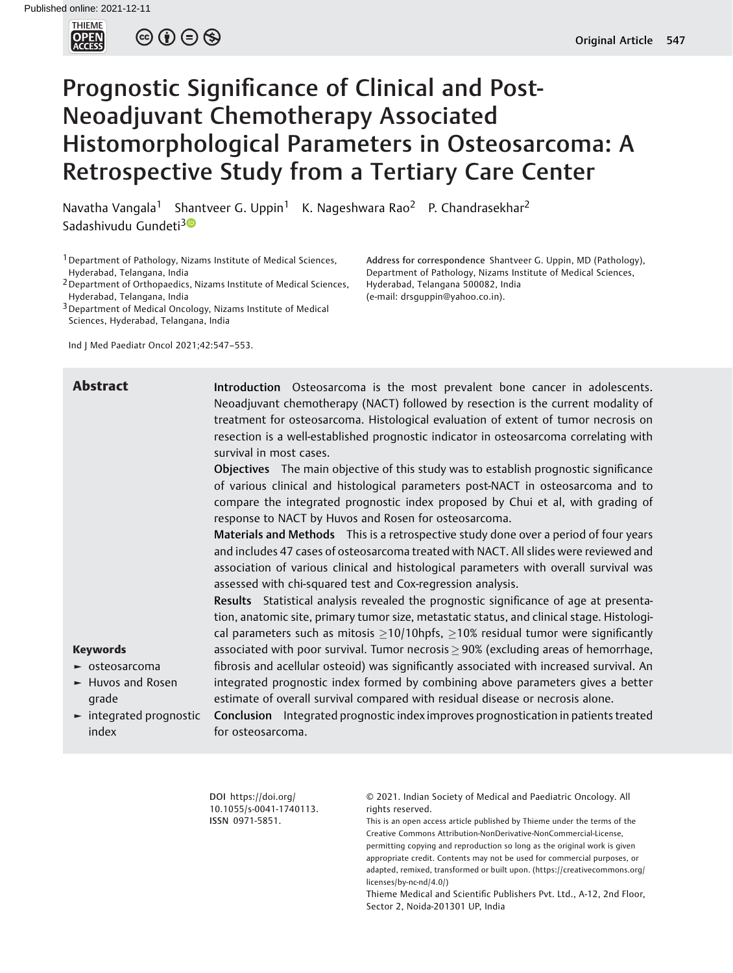

 $\circledcirc \circledcirc \circledcirc$ 

# Prognostic Significance of Clinical and Post-Neoadjuvant Chemotherapy Associated Histomorphological Parameters in Osteosarcoma: A Retrospective Study from a Tertiary Care Center

Navatha Vangala<sup>1</sup> Shantveer G. Uppin<sup>1</sup> K. Nageshwara Rao<sup>2</sup> P. Chandrasekhar<sup>2</sup> Sadashivudu Gundeti<sup>[3](https://orcid.org/0000-0002-8962-9109)0</sup>

<sup>1</sup> Department of Pathology, Nizams Institute of Medical Sciences, Hyderabad, Telangana, India

2Department of Orthopaedics, Nizams Institute of Medical Sciences, Hyderabad, Telangana, India

3Department of Medical Oncology, Nizams Institute of Medical Sciences, Hyderabad, Telangana, India

Ind J Med Paediatr Oncol 2021;42:547–553.

Address for correspondence Shantveer G. Uppin, MD (Pathology), Department of Pathology, Nizams Institute of Medical Sciences, Hyderabad, Telangana 500082, India (e-mail: [drsguppin@yahoo.co.in\)](mailto:drsguppin@yahoo.co.in).

Abstract Introduction Osteosarcoma is the most prevalent bone cancer in adolescents. Neoadjuvant chemotherapy (NACT) followed by resection is the current modality of treatment for osteosarcoma. Histological evaluation of extent of tumor necrosis on resection is a well-established prognostic indicator in osteosarcoma correlating with survival in most cases.

> Objectives The main objective of this study was to establish prognostic significance of various clinical and histological parameters post-NACT in osteosarcoma and to compare the integrated prognostic index proposed by Chui et al, with grading of response to NACT by Huvos and Rosen for osteosarcoma.

> Materials and Methods This is a retrospective study done over a period of four years and includes 47 cases of osteosarcoma treated with NACT. All slides were reviewed and association of various clinical and histological parameters with overall survival was assessed with chi-squared test and Cox-regression analysis.

> Results Statistical analysis revealed the prognostic significance of age at presentation, anatomic site, primary tumor size, metastatic status, and clinical stage. Histological parameters such as mitosis  $\geq 10/10$ hpfs,  $\geq 10%$  residual tumor were significantly associated with poor survival. Tumor necrosis  $\geq$  90% (excluding areas of hemorrhage, fibrosis and acellular osteoid) was significantly associated with increased survival. An integrated prognostic index formed by combining above parameters gives a better estimate of overall survival compared with residual disease or necrosis alone.

## Keywords

- ► osteosarcoma
- ► Huvos and Rosen grade
- ► integrated prognostic index

Conclusion Integrated prognostic index improves prognostication in patients treated for osteosarcoma.

DOI [https://doi.org/](https://doi.org/10.1055/s-0041-1740113) [10.1055/s-0041-1740113](https://doi.org/10.1055/s-0041-1740113). ISSN 0971-5851.

© 2021. Indian Society of Medical and Paediatric Oncology. All rights reserved.

This is an open access article published by Thieme under the terms of the Creative Commons Attribution-NonDerivative-NonCommercial-License, permitting copying and reproduction so long as the original work is given appropriate credit. Contents may not be used for commercial purposes, or adapted, remixed, transformed or built upon. (https://creativecommons.org/ licenses/by-nc-nd/4.0/)

Thieme Medical and Scientific Publishers Pvt. Ltd., A-12, 2nd Floor, Sector 2, Noida-201301 UP, India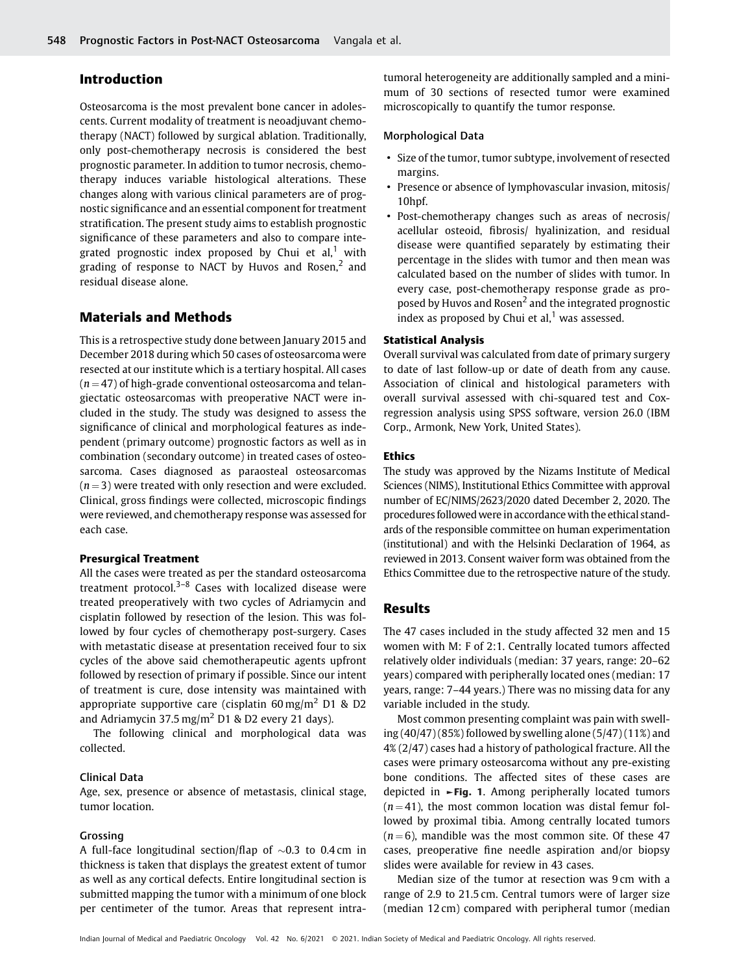#### Introduction

Osteosarcoma is the most prevalent bone cancer in adolescents. Current modality of treatment is neoadjuvant chemotherapy (NACT) followed by surgical ablation. Traditionally, only post-chemotherapy necrosis is considered the best prognostic parameter. In addition to tumor necrosis, chemotherapy induces variable histological alterations. These changes along with various clinical parameters are of prognostic significance and an essential component for treatment stratification. The present study aims to establish prognostic significance of these parameters and also to compare integrated prognostic index proposed by Chui et al,<sup>1</sup> with grading of response to NACT by Huvos and Rosen, $<sup>2</sup>$  and</sup> residual disease alone.

### Materials and Methods

This is a retrospective study done between January 2015 and December 2018 during which 50 cases of osteosarcoma were resected at our institute which is a tertiary hospital. All cases  $(n = 47)$  of high-grade conventional osteosarcoma and telangiectatic osteosarcomas with preoperative NACT were included in the study. The study was designed to assess the significance of clinical and morphological features as independent (primary outcome) prognostic factors as well as in combination (secondary outcome) in treated cases of osteosarcoma. Cases diagnosed as paraosteal osteosarcomas  $(n = 3)$  were treated with only resection and were excluded. Clinical, gross findings were collected, microscopic findings were reviewed, and chemotherapy response was assessed for each case.

#### Presurgical Treatment

All the cases were treated as per the standard osteosarcoma treatment protocol. $3-8$  Cases with localized disease were treated preoperatively with two cycles of Adriamycin and cisplatin followed by resection of the lesion. This was followed by four cycles of chemotherapy post-surgery. Cases with metastatic disease at presentation received four to six cycles of the above said chemotherapeutic agents upfront followed by resection of primary if possible. Since our intent of treatment is cure, dose intensity was maintained with appropriate supportive care (cisplatin  $60 \,\text{mg/m}^2$  D1 & D2 and Adriamycin 37.5 mg/m<sup>2</sup> D1 & D2 every 21 days).

The following clinical and morphological data was collected.

#### Clinical Data

Age, sex, presence or absence of metastasis, clinical stage, tumor location.

#### Grossing

A full-face longitudinal section/flap of  $\sim 0.3$  to 0.4 cm in thickness is taken that displays the greatest extent of tumor as well as any cortical defects. Entire longitudinal section is submitted mapping the tumor with a minimum of one block per centimeter of the tumor. Areas that represent intratumoral heterogeneity are additionally sampled and a minimum of 30 sections of resected tumor were examined microscopically to quantify the tumor response.

#### Morphological Data

- Size of the tumor, tumor subtype, involvement of resected margins.
- Presence or absence of lymphovascular invasion, mitosis/ 10hpf.
- Post-chemotherapy changes such as areas of necrosis/ acellular osteoid, fibrosis/ hyalinization, and residual disease were quantified separately by estimating their percentage in the slides with tumor and then mean was calculated based on the number of slides with tumor. In every case, post-chemotherapy response grade as proposed by Huvos and Rosen<sup>2</sup> and the integrated prognostic index as proposed by Chui et al, $<sup>1</sup>$  was assessed.</sup>

#### Statistical Analysis

Overall survival was calculated from date of primary surgery to date of last follow-up or date of death from any cause. Association of clinical and histological parameters with overall survival assessed with chi-squared test and Coxregression analysis using SPSS software, version 26.0 (IBM Corp., Armonk, New York, United States).

#### Ethics

The study was approved by the Nizams Institute of Medical Sciences (NIMS), Institutional Ethics Committee with approval number of EC/NIMS/2623/2020 dated December 2, 2020. The procedures followedwere in accordance with the ethical standards of the responsible committee on human experimentation (institutional) and with the Helsinki Declaration of 1964, as reviewed in 2013. Consent waiver form was obtained from the Ethics Committee due to the retrospective nature of the study.

#### Results

The 47 cases included in the study affected 32 men and 15 women with M: F of 2:1. Centrally located tumors affected relatively older individuals (median: 37 years, range: 20–62 years) compared with peripherally located ones (median: 17 years, range: 7–44 years.) There was no missing data for any variable included in the study.

Most common presenting complaint was pain with swelling  $(40/47)(85%)$  followed by swelling alone  $(5/47)(11%)$  and 4% (2/47) cases had a history of pathological fracture. All the cases were primary osteosarcoma without any pre-existing bone conditions. The affected sites of these cases are depicted in  $\blacktriangleright$ Fig. 1. Among peripherally located tumors  $(n = 41)$ , the most common location was distal femur followed by proximal tibia. Among centrally located tumors  $(n = 6)$ , mandible was the most common site. Of these 47 cases, preoperative fine needle aspiration and/or biopsy slides were available for review in 43 cases.

Median size of the tumor at resection was 9 cm with a range of 2.9 to 21.5 cm. Central tumors were of larger size (median 12 cm) compared with peripheral tumor (median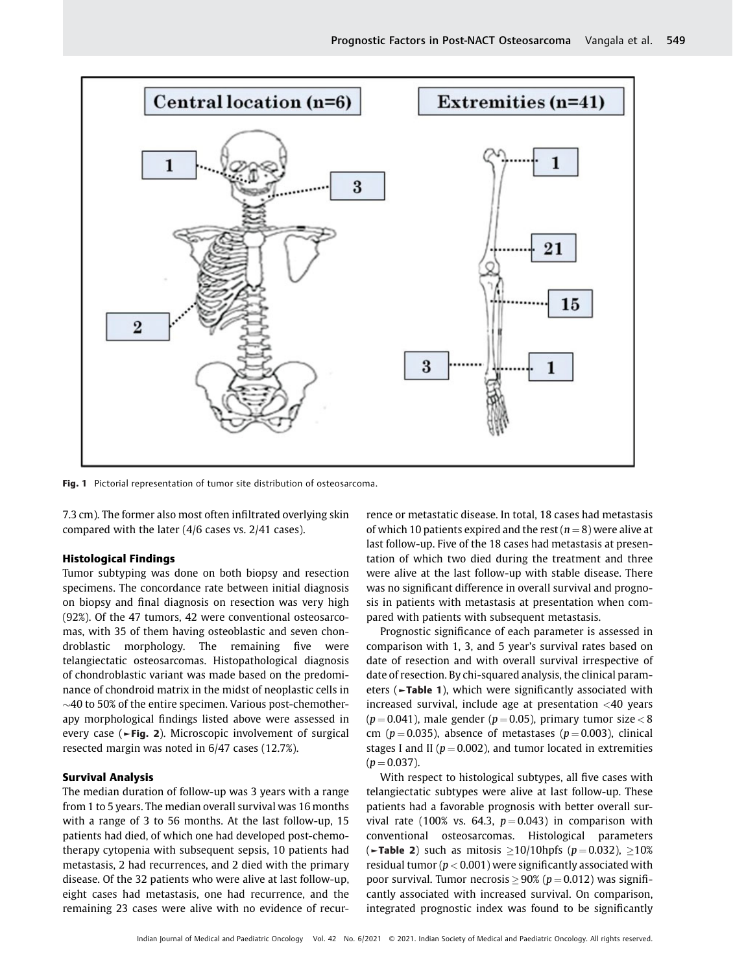

Fig. 1 Pictorial representation of tumor site distribution of osteosarcoma.

7.3 cm). The former also most often infiltrated overlying skin compared with the later (4/6 cases vs. 2/41 cases).

#### Histological Findings

Tumor subtyping was done on both biopsy and resection specimens. The concordance rate between initial diagnosis on biopsy and final diagnosis on resection was very high (92%). Of the 47 tumors, 42 were conventional osteosarcomas, with 35 of them having osteoblastic and seven chondroblastic morphology. The remaining five were telangiectatic osteosarcomas. Histopathological diagnosis of chondroblastic variant was made based on the predominance of chondroid matrix in the midst of neoplastic cells in  $\sim$ 40 to 50% of the entire specimen. Various post-chemotherapy morphological findings listed above were assessed in every case (►Fig. 2). Microscopic involvement of surgical resected margin was noted in 6/47 cases (12.7%).

#### Survival Analysis

The median duration of follow-up was 3 years with a range from 1 to 5 years. The median overall survival was 16 months with a range of 3 to 56 months. At the last follow-up, 15 patients had died, of which one had developed post-chemotherapy cytopenia with subsequent sepsis, 10 patients had metastasis, 2 had recurrences, and 2 died with the primary disease. Of the 32 patients who were alive at last follow-up, eight cases had metastasis, one had recurrence, and the remaining 23 cases were alive with no evidence of recurrence or metastatic disease. In total, 18 cases had metastasis of which 10 patients expired and the rest ( $n = 8$ ) were alive at last follow-up. Five of the 18 cases had metastasis at presentation of which two died during the treatment and three were alive at the last follow-up with stable disease. There was no significant difference in overall survival and prognosis in patients with metastasis at presentation when compared with patients with subsequent metastasis.

Prognostic significance of each parameter is assessed in comparison with 1, 3, and 5 year's survival rates based on date of resection and with overall survival irrespective of date of resection. By chi-squared analysis, the clinical parameters (►Table 1), which were significantly associated with increased survival, include age at presentation <40 years  $(p = 0.041)$ , male gender  $(p = 0.05)$ , primary tumor size  $< 8$ cm ( $p = 0.035$ ), absence of metastases ( $p = 0.003$ ), clinical stages I and II ( $p = 0.002$ ), and tumor located in extremities  $(p = 0.037)$ .

With respect to histological subtypes, all five cases with telangiectatic subtypes were alive at last follow-up. These patients had a favorable prognosis with better overall survival rate (100% vs. 64.3,  $p = 0.043$ ) in comparison with conventional osteosarcomas. Histological parameters ( $\blacktriangleright$ Table 2) such as mitosis >10/10hpfs ( $p = 0.032$ ), >10% residual tumor ( $p < 0.001$ ) were significantly associated with poor survival. Tumor necrosis  $> 90\%$  ( $p = 0.012$ ) was significantly associated with increased survival. On comparison, integrated prognostic index was found to be significantly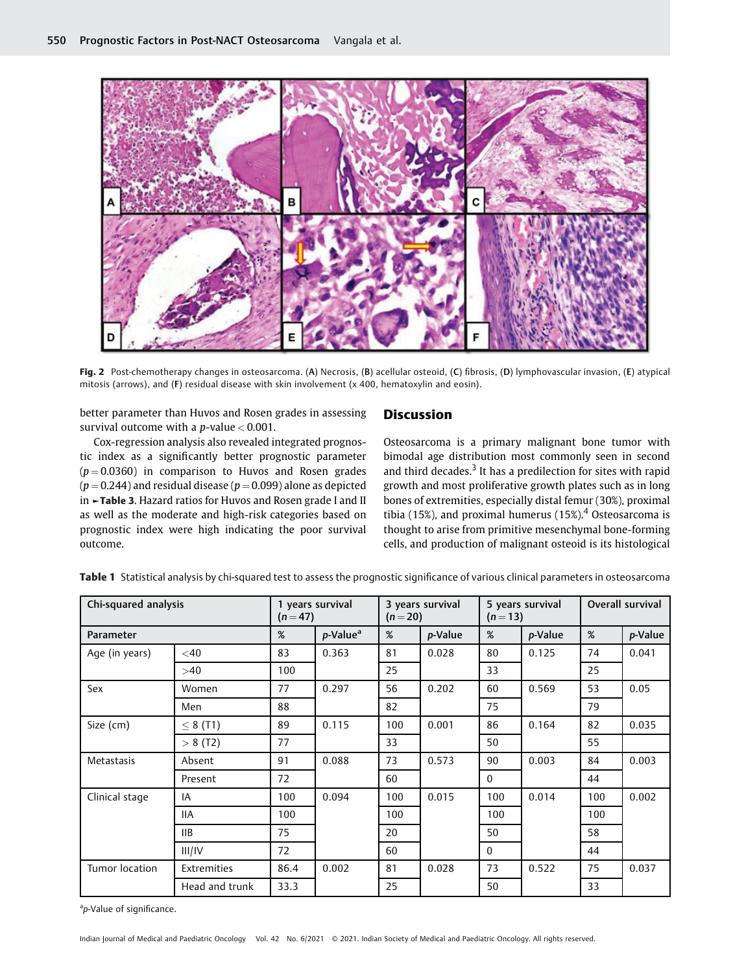

Fig. 2 Post-chemotherapy changes in osteosarcoma. (A) Necrosis, (B) acellular osteoid, (C) fibrosis, (D) lymphovascular invasion, (E) atypical mitosis (arrows), and (F) residual disease with skin involvement (x 400, hematoxylin and eosin).

better parameter than Huvos and Rosen grades in assessing survival outcome with a  $p$ -value  $< 0.001$ .

Cox-regression analysis also revealed integrated prognostic index as a significantly better prognostic parameter  $(p = 0.0360)$  in comparison to Huvos and Rosen grades  $(p = 0.244)$  and residual disease  $(p = 0.099)$  alone as depicted in ►Table 3. Hazard ratios for Huvos and Rosen grade I and II as well as the moderate and high-risk categories based on prognostic index were high indicating the poor survival outcome.

#### **Discussion**

Osteosarcoma is a primary malignant bone tumor with bimodal age distribution most commonly seen in second and third decades. $3$  It has a predilection for sites with rapid growth and most proliferative growth plates such as in long bones of extremities, especially distal femur (30%), proximal tibia (15%), and proximal humerus (15%).<sup>4</sup> Osteosarcoma is thought to arise from primitive mesenchymal bone-forming cells, and production of malignant osteoid is its histological

| Chi-squared analysis |                | 1 years survival<br>$(n=47)$ |                      | 3 years survival<br>$(n=20)$ |         | 5 years survival<br>$(n=13)$ |                 | Overall survival |         |
|----------------------|----------------|------------------------------|----------------------|------------------------------|---------|------------------------------|-----------------|------------------|---------|
| Parameter            |                | %                            | p-Value <sup>a</sup> | %                            | p-Value | %                            | <i>p</i> -Value | %                | p-Value |
| Age (in years)       | $<$ 40         | 83                           | 0.363                | 81                           | 0.028   | 80                           | 0.125           | 74               | 0.041   |
|                      | >40            | 100                          |                      | 25                           |         | 33                           |                 | 25               |         |
| Sex                  | Women          | 77                           | 0.297                | 56                           | 0.202   | 60                           | 0.569           | 53               | 0.05    |
|                      | Men            | 88                           |                      | 82                           |         | 75                           |                 | 79               |         |
| Size (cm)            | $\leq$ 8 (T1)  | 89                           | 0.115                | 100                          | 0.001   | 86                           | 0.164           | 82               | 0.035   |
|                      | > 8(12)        | 77                           |                      | 33                           |         | 50                           |                 | 55               |         |
| <b>Metastasis</b>    | Absent         | 91                           | 0.088                | 73                           | 0.573   | 90                           | 0.003           | 84               | 0.003   |
|                      | Present        | 72                           |                      | 60                           |         | $\mathbf{0}$                 |                 | 44               |         |
| Clinical stage       | IA             | 100                          | 0.094                | 100                          | 0.015   | 100                          | 0.014           | 100              | 0.002   |
|                      | <b>IIA</b>     | 100                          |                      | 100                          |         | 100                          |                 | 100              |         |
|                      | IIB            | 75                           |                      | 20                           |         | 50                           |                 | 58               |         |
|                      | III/IV         | 72                           |                      | 60                           |         | $\mathbf{0}$                 |                 | 44               |         |
| Tumor location       | Extremities    | 86.4                         | 0.002                | 81                           | 0.028   | 73                           | 0.522           | 75               | 0.037   |
|                      | Head and trunk | 33.3                         |                      | 25                           |         | 50                           |                 | 33               |         |

Table 1 Statistical analysis by chi-squared test to assess the prognostic significance of various clinical parameters in osteosarcoma

<sup>a</sup>p-Value of significance.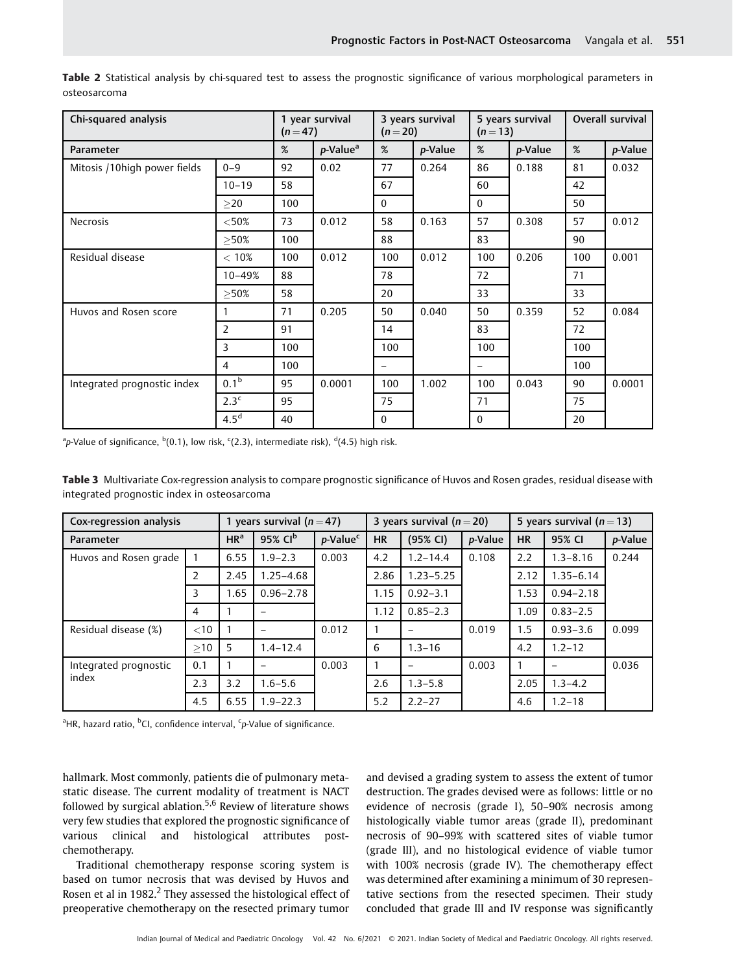| Chi-squared analysis         | 1 year survival<br>$(n=47)$ |                         | 3 years survival<br>$(n=20)$ |                          | 5 years survival<br>$(n=13)$ |                          | Overall survival |         |        |
|------------------------------|-----------------------------|-------------------------|------------------------------|--------------------------|------------------------------|--------------------------|------------------|---------|--------|
| Parameter                    | %                           | $p$ -Value <sup>a</sup> | %                            | p-Value                  | %                            | p-Value                  | %                | p-Value |        |
| Mitosis /10high power fields | $0 - 9$                     | 92                      | 0.02                         | 77                       | 0.264                        | 86                       | 0.188            | 81      | 0.032  |
|                              | $10 - 19$                   | 58                      |                              | 67                       |                              | 60                       |                  | 42      |        |
|                              | >20                         | 100                     |                              | $\Omega$                 |                              | $\Omega$                 |                  | 50      |        |
| <b>Necrosis</b>              | ${<}50%$                    | 73                      | 0.012                        | 58                       | 0.163                        | 57                       | 0.308            | 57      | 0.012  |
|                              | >50%                        | 100                     |                              | 88                       |                              | 83                       |                  | 90      |        |
| Residual disease             | $< 10\%$                    | 100                     | 0.012                        | 100                      | 0.012                        | 100                      | 0.206            | 100     | 0.001  |
|                              | 10-49%                      | 88                      |                              | 78                       |                              | 72                       |                  | 71      |        |
|                              | >50%                        | 58                      |                              | 20                       |                              | 33                       |                  | 33      |        |
| Huvos and Rosen score        |                             | 71                      | 0.205                        | 50                       | 0.040                        | 50                       | 0.359            | 52      | 0.084  |
|                              | 2                           | 91                      |                              | 14                       |                              | 83                       |                  | 72      |        |
|                              | 3                           | 100                     |                              | 100                      |                              | 100                      |                  | 100     |        |
|                              | $\overline{4}$              | 100                     |                              | $\overline{\phantom{0}}$ |                              | $\overline{\phantom{0}}$ |                  | 100     |        |
| Integrated prognostic index  | 0.1 <sup>b</sup>            | 95                      | 0.0001                       | 100                      | 1.002                        | 100                      | 0.043            | 90      | 0.0001 |
|                              | 2.3 <sup>c</sup>            | 95                      |                              | 75                       |                              | 71                       |                  | 75      |        |
|                              | 4.5 <sup>d</sup>            | 40                      |                              | $\Omega$                 |                              | $\Omega$                 |                  | 20      |        |

Table 2 Statistical analysis by chi-squared test to assess the prognostic significance of various morphological parameters in osteosarcoma

 $^{\rm a}$ p-Value of significance,  $^{\rm b}$ (0.1), low risk, <sup>c</sup>(2.3), intermediate risk), <sup>d</sup>(4.5) high risk.

Table 3 Multivariate Cox-regression analysis to compare prognostic significance of Huvos and Rosen grades, residual disease with integrated prognostic index in osteosarcoma

| Cox-regression analysis |        | 1 years survival ( $n = 47$ ) |                     |                      | 3 years survival ( $n = 20$ ) |               |                 | 5 years survival $(n=13)$ |               |         |
|-------------------------|--------|-------------------------------|---------------------|----------------------|-------------------------------|---------------|-----------------|---------------------------|---------------|---------|
| Parameter               |        | HR <sup>a</sup>               | 95% CI <sup>b</sup> | p-Value <sup>c</sup> | <b>HR</b>                     | (95% CI)      | <i>p</i> -Value | <b>HR</b>                 | 95% CI        | p-Value |
| Huvos and Rosen grade   |        | 6.55                          | $1.9 - 2.3$         | 0.003                | 4.2                           | $1.2 - 14.4$  | 0.108           | 2.2                       | $1.3 - 8.16$  | 0.244   |
|                         | 2      | 2.45                          | $1.25 - 4.68$       |                      | 2.86                          | $1.23 - 5.25$ |                 | 2.12                      | $1.35 - 6.14$ |         |
|                         | 3      | 1.65                          | $0.96 - 2.78$       |                      | 1.15                          | $0.92 - 3.1$  |                 | 1.53                      | $0.94 - 2.18$ |         |
|                         | 4      |                               |                     |                      | 1.12                          | $0.85 - 2.3$  |                 | 1.09                      | $0.83 - 2.5$  |         |
| Residual disease (%)    | $<$ 10 |                               |                     | 0.012                |                               |               | 0.019           | 1.5                       | $0.93 - 3.6$  | 0.099   |
|                         | >10    | 5                             | $1.4 - 12.4$        |                      | 6                             | $1.3 - 16$    |                 | 4.2                       | $1.2 - 12$    |         |
| Integrated prognostic   | 0.1    |                               |                     | 0.003                |                               |               | 0.003           |                           |               | 0.036   |
| index                   | 2.3    | 3.2                           | $1.6 - 5.6$         |                      | 2.6                           | $1.3 - 5.8$   |                 | 2.05                      | $1.3 - 4.2$   |         |
|                         | 4.5    | 6.55                          | $1.9 - 22.3$        |                      | 5.2                           | $2.2 - 27$    |                 | 4.6                       | $1.2 - 18$    |         |

<sup>a</sup>HR, hazard ratio, <sup>b</sup>CI, confidence interval, <sup>c</sup>p-Value of significance.

hallmark. Most commonly, patients die of pulmonary metastatic disease. The current modality of treatment is NACT followed by surgical ablation.<sup>5,6</sup> Review of literature shows very few studies that explored the prognostic significance of various clinical and histological attributes postchemotherapy.

Traditional chemotherapy response scoring system is based on tumor necrosis that was devised by Huvos and Rosen et al in 1982.<sup>2</sup> They assessed the histological effect of preoperative chemotherapy on the resected primary tumor

and devised a grading system to assess the extent of tumor destruction. The grades devised were as follows: little or no evidence of necrosis (grade I), 50–90% necrosis among histologically viable tumor areas (grade II), predominant necrosis of 90–99% with scattered sites of viable tumor (grade III), and no histological evidence of viable tumor with 100% necrosis (grade IV). The chemotherapy effect was determined after examining a minimum of 30 representative sections from the resected specimen. Their study concluded that grade III and IV response was significantly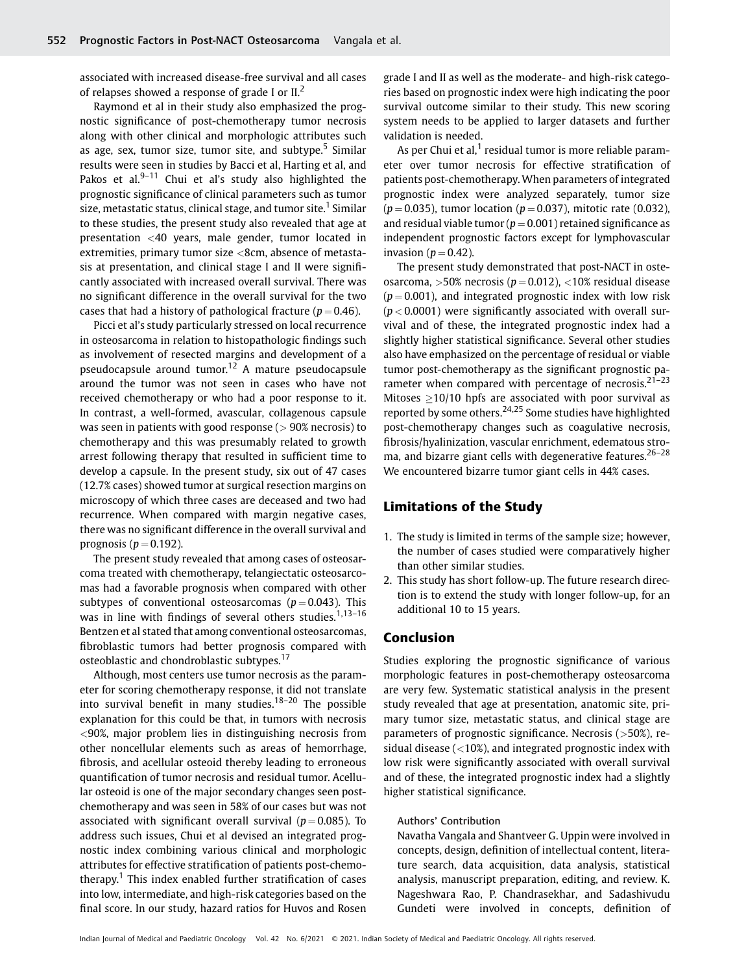associated with increased disease-free survival and all cases of relapses showed a response of grade I or  $II<sup>2</sup>$ .

Raymond et al in their study also emphasized the prognostic significance of post-chemotherapy tumor necrosis along with other clinical and morphologic attributes such as age, sex, tumor size, tumor site, and subtype.<sup>5</sup> Similar results were seen in studies by Bacci et al, Harting et al, and Pakos et al. $9-11$  Chui et al's study also highlighted the prognostic significance of clinical parameters such as tumor size, metastatic status, clinical stage, and tumor site.<sup>1</sup> Similar to these studies, the present study also revealed that age at presentation <40 years, male gender, tumor located in extremities, primary tumor size <8cm, absence of metastasis at presentation, and clinical stage I and II were significantly associated with increased overall survival. There was no significant difference in the overall survival for the two cases that had a history of pathological fracture ( $p = 0.46$ ).

Picci et al's study particularly stressed on local recurrence in osteosarcoma in relation to histopathologic findings such as involvement of resected margins and development of a pseudocapsule around tumor.<sup>12</sup> A mature pseudocapsule around the tumor was not seen in cases who have not received chemotherapy or who had a poor response to it. In contrast, a well-formed, avascular, collagenous capsule was seen in patients with good response ( $> 90\%$  necrosis) to chemotherapy and this was presumably related to growth arrest following therapy that resulted in sufficient time to develop a capsule. In the present study, six out of 47 cases (12.7% cases) showed tumor at surgical resection margins on microscopy of which three cases are deceased and two had recurrence. When compared with margin negative cases, there was no significant difference in the overall survival and prognosis ( $p = 0.192$ ).

The present study revealed that among cases of osteosarcoma treated with chemotherapy, telangiectatic osteosarcomas had a favorable prognosis when compared with other subtypes of conventional osteosarcomas ( $p = 0.043$ ). This was in line with findings of several others studies.<sup>1,13-16</sup> Bentzen et al stated that among conventional osteosarcomas, fibroblastic tumors had better prognosis compared with osteoblastic and chondroblastic subtypes.<sup>17</sup>

Although, most centers use tumor necrosis as the parameter for scoring chemotherapy response, it did not translate into survival benefit in many studies.<sup>18-20</sup> The possible explanation for this could be that, in tumors with necrosis <90%, major problem lies in distinguishing necrosis from other noncellular elements such as areas of hemorrhage, fibrosis, and acellular osteoid thereby leading to erroneous quantification of tumor necrosis and residual tumor. Acellular osteoid is one of the major secondary changes seen postchemotherapy and was seen in 58% of our cases but was not associated with significant overall survival ( $p = 0.085$ ). To address such issues, Chui et al devised an integrated prognostic index combining various clinical and morphologic attributes for effective stratification of patients post-chemotherapy.<sup>1</sup> This index enabled further stratification of cases into low, intermediate, and high-risk categories based on the final score. In our study, hazard ratios for Huvos and Rosen

grade I and II as well as the moderate- and high-risk categories based on prognostic index were high indicating the poor survival outcome similar to their study. This new scoring system needs to be applied to larger datasets and further validation is needed.

As per Chui et al, $1$  residual tumor is more reliable parameter over tumor necrosis for effective stratification of patients post-chemotherapy. When parameters of integrated prognostic index were analyzed separately, tumor size  $(p = 0.035)$ , tumor location  $(p = 0.037)$ , mitotic rate (0.032), and residual viable tumor ( $p = 0.001$ ) retained significance as independent prognostic factors except for lymphovascular invasion ( $p = 0.42$ ).

The present study demonstrated that post-NACT in osteosarcoma, >50% necrosis ( $p = 0.012$ ), <10% residual disease  $(p = 0.001)$ , and integrated prognostic index with low risk  $(p < 0.0001)$  were significantly associated with overall survival and of these, the integrated prognostic index had a slightly higher statistical significance. Several other studies also have emphasized on the percentage of residual or viable tumor post-chemotherapy as the significant prognostic parameter when compared with percentage of necrosis.<sup>21-23</sup> Mitoses  $\geq$ 10/10 hpfs are associated with poor survival as reported by some others.24,25 Some studies have highlighted post-chemotherapy changes such as coagulative necrosis, fibrosis/hyalinization, vascular enrichment, edematous stroma, and bizarre giant cells with degenerative features.<sup>26-28</sup> We encountered bizarre tumor giant cells in 44% cases.

#### Limitations of the Study

- 1. The study is limited in terms of the sample size; however, the number of cases studied were comparatively higher than other similar studies.
- 2. This study has short follow-up. The future research direction is to extend the study with longer follow-up, for an additional 10 to 15 years.

#### Conclusion

Studies exploring the prognostic significance of various morphologic features in post-chemotherapy osteosarcoma are very few. Systematic statistical analysis in the present study revealed that age at presentation, anatomic site, primary tumor size, metastatic status, and clinical stage are parameters of prognostic significance. Necrosis (>50%), residual disease  $\left($  < 10%), and integrated prognostic index with low risk were significantly associated with overall survival and of these, the integrated prognostic index had a slightly higher statistical significance.

#### Authors' Contribution

Navatha Vangala and Shantveer G. Uppin were involved in concepts, design, definition of intellectual content, literature search, data acquisition, data analysis, statistical analysis, manuscript preparation, editing, and review. K. Nageshwara Rao, P. Chandrasekhar, and Sadashivudu Gundeti were involved in concepts, definition of